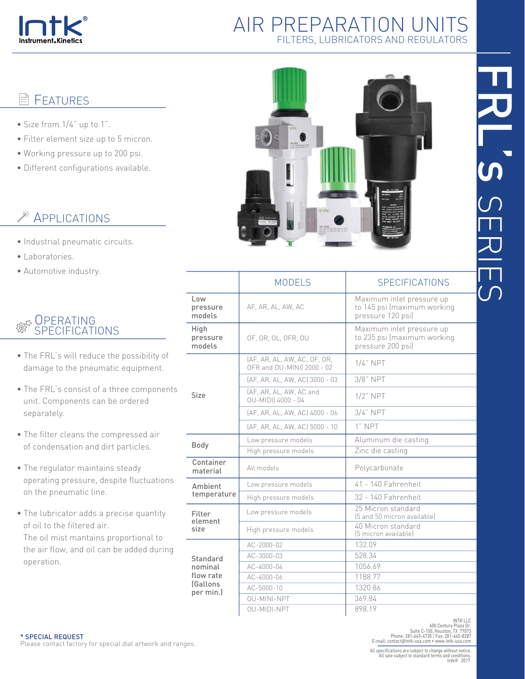

#### **FEATURES** lă

- Size from 1/4" up to 1".
- Filter element size up to 5 micron.
- Working pressure up to 200 psi.
- Different configurations available.

# APPLICATIONS

- Industrial pneumatic circuits.
- Laboratories.
- Automotive industry.

#### OPERATING **र**ूट्टर SPECIFICATIONS

- The FRL's will reduce the possibility of damage to the pneumatic equipment.
- The FRL's consist of a three components unit. Components can be ordered separately.
- The filter cleans the compressed air of condensation and dirt particles.
- The regulator maintains steady operating pressure, despite fluctuations on the pneumatic line.
- The lubricator adds a precise quantity of oil to the filtered air. The oil mist mantains proportional to

 the air flow, and oil can be added during operation.



|                                                                 | <b>MODELS</b>                                              | <b>SPECIFICATIONS</b>                                                         |  |
|-----------------------------------------------------------------|------------------------------------------------------------|-------------------------------------------------------------------------------|--|
| Low<br>pressure<br>models                                       | AF, AR, AL, AW, AC                                         | Maximum inlet pressure up<br>to 145 psi (maximum working<br>pressure 120 psi) |  |
| High<br>pressure<br>models                                      | OF, OR, OL, OFR, OU                                        | Maximum inlet pressure up<br>to 235 psi (maximum working<br>pressure 200 psi) |  |
| <b>Size</b>                                                     | (AF, AR, AL, AW, AC, OF, OR,<br>OFR and OU-MINI] 2000 - 02 | $1/4$ " NPT                                                                   |  |
|                                                                 | [AF, AR, AL, AW, AC] 3000 - 03                             | 3/8" NPT                                                                      |  |
|                                                                 | (AF, AR, AL, AW, AC and<br>OU-MIDII 4000 - 04              | $1/2$ " NPT                                                                   |  |
|                                                                 | (AF, AR, AL, AW, AC) 4000 - 06                             | $3/4$ " NPT                                                                   |  |
|                                                                 | (AF, AR, AL, AW, AC) 5000 - 10                             | $1"$ NPT                                                                      |  |
| Body                                                            | Low pressure models                                        | Aluminum die casting                                                          |  |
|                                                                 | High pressure models                                       | Zinc die casting                                                              |  |
| Container<br>material                                           | All models                                                 | Polycarbonate                                                                 |  |
| Ambient<br>temperature                                          | Low pressure models                                        | 41 - 140 Fahrenheit                                                           |  |
|                                                                 | High pressure models                                       | 32 - 140 Fahrenheit                                                           |  |
| Filter<br>element<br>size                                       | Low pressure models                                        | 25 Micron standard<br>[5 and 50 micron available]                             |  |
|                                                                 | High pressure models                                       | 40 Micron standard<br>(5 micron available)                                    |  |
| Standard<br>nominal<br>flow rate<br><b>Gallons</b><br>per min.) | AC-2000-02                                                 | 132.09                                                                        |  |
|                                                                 | AC-3000-03                                                 | 528.34                                                                        |  |
|                                                                 | AC-4000-04                                                 | 1056.69                                                                       |  |
|                                                                 | AC-4000-06                                                 | 1188.77                                                                       |  |
|                                                                 | AC-5000-10                                                 | 1320.86                                                                       |  |
|                                                                 | OU-MINI-NPT                                                | 369.84                                                                        |  |
|                                                                 | OU-MIDI-NPT                                                | 898.19                                                                        |  |

\* SPECIAL REQUEST Please contact factory for special dial artwork and ranges.

INTK LLC .600 Century Plaza Dr<br>Suite C-150, Houston, TX 77073<br>Phone: 281-645-4730 / Fax: 281-645-8287<br>E-mail: contact@intk-usa.com • www.intk-usa.com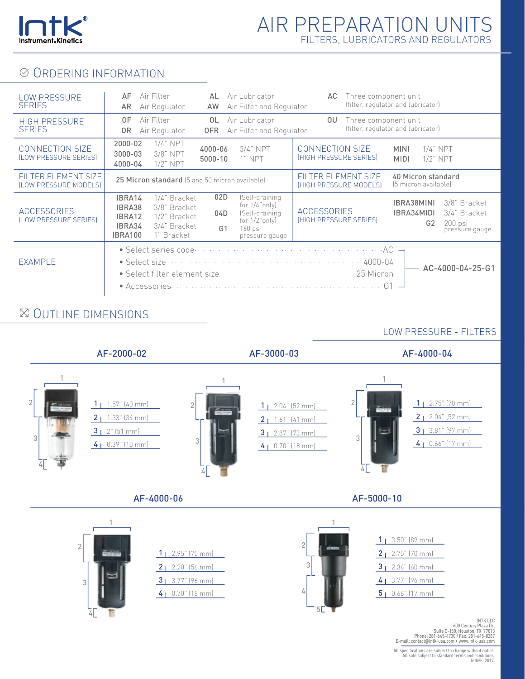

### **⊘ ORDERING INFORMATION**

| <b>LOW PRESSURE</b><br><b>SERIES</b>            | Air Filter<br>AF<br>AR<br>Air Regulator                                                                                              | Air Lubricator<br>AL<br>Air Filter and Regulator<br>AW                                                                                  | AC.                                                  | Three component unit<br>(filter, regulator and lubricator)                                              |  |
|-------------------------------------------------|--------------------------------------------------------------------------------------------------------------------------------------|-----------------------------------------------------------------------------------------------------------------------------------------|------------------------------------------------------|---------------------------------------------------------------------------------------------------------|--|
| <b>HIGH PRESSURE</b><br><b>SERIES</b>           | 0F<br>Air Filter<br>Air Regulator<br>0R                                                                                              | 0L<br>Air Lubricator<br>Air Filter and Regulator<br>0FR                                                                                 | OU.                                                  | Three component unit<br>(filter, regulator and lubricator)                                              |  |
| <b>CONNECTION SIZE</b><br>(LOW PRESSURE SERIES) | $1/4$ " NPT<br>$2000 - 02$<br>3/8" NPT<br>$3000 - 03$<br>$1/2$ " NPT<br>4000-04                                                      | $3/4$ " NPT<br>4000-06<br>1" NPT<br>5000-10                                                                                             | <b>CONNECTION SIZE</b><br>(HIGH PRESSURE SERIES)     | $1/4$ " NPT<br><b>MINI</b><br>$1/2$ " NPT<br><b>MIDI</b>                                                |  |
| FILTER ELEMENT SIZE<br>(LOW PRESSURE MODELS)    | 25 Micron standard (5 and 50 micron available)                                                                                       |                                                                                                                                         | FILTER ELEMENT SIZE<br><b>IHIGH PRESSURE MODELSI</b> | 40 Micron standard<br>(5 micron available)                                                              |  |
| <b>ACCESSORIES</b><br>(LOW PRESSURE SERIES)     | IBRA14<br>1/4" Bracket<br>IBRA38<br>3/8" Bracket<br>1/2" Bracket<br>IBRA12<br>3/4" Bracket<br>IBRA34<br><b>IBRA100</b><br>1" Bracket | 02D<br>(Self-draining<br>for $1/4$ "only)<br>04D<br>(Self-draining<br>for $1/2$ "only)<br>G <sub>1</sub><br>$160$ psi<br>pressure gauge | <b>ACCESSORIES</b><br>(HIGH PRESSURE SERIES)         | IBRA38MINI<br>3/8" Bracket<br>3/4" Bracket<br>IBRA34MIDI<br>200 psi<br>G <sub>2</sub><br>pressure gauge |  |
| <b>EXAMPLE</b>                                  |                                                                                                                                      | • Select filter element size <b>construction</b> and the construction of the Select filter on<br>• Accessories                          | G1                                                   | AC-4000-04-25-G1                                                                                        |  |

### OUTLINE DIMENSIONS

### LOW PRESSURE - FILTERS

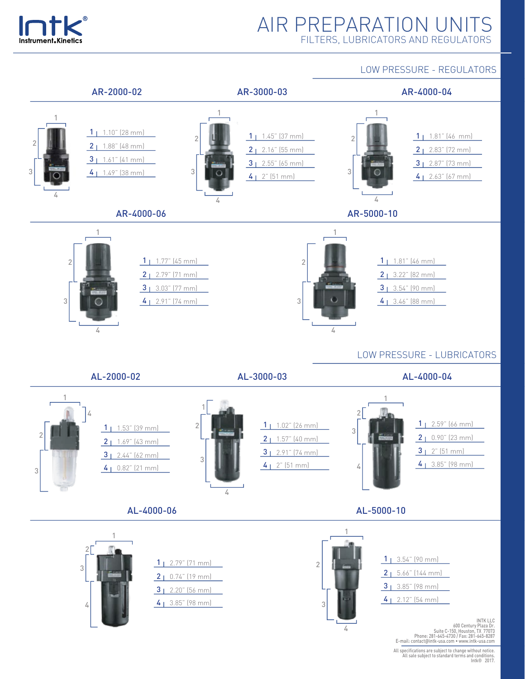

LOW PRESSURE - REGULATORS

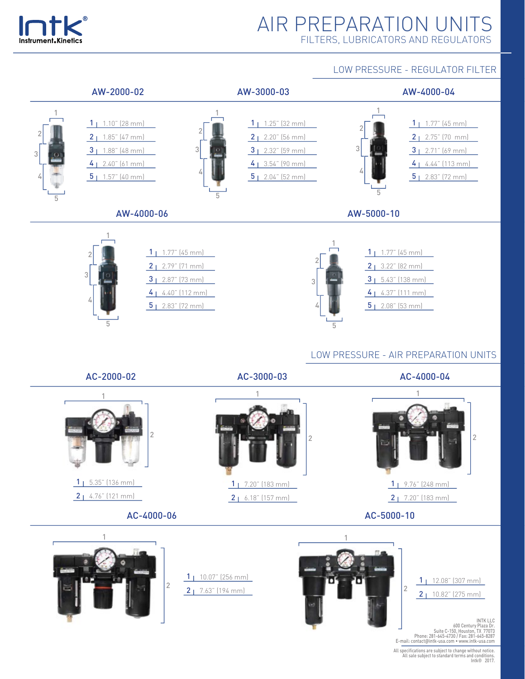

#### LOW PRESSURE - REGULATOR FILTER